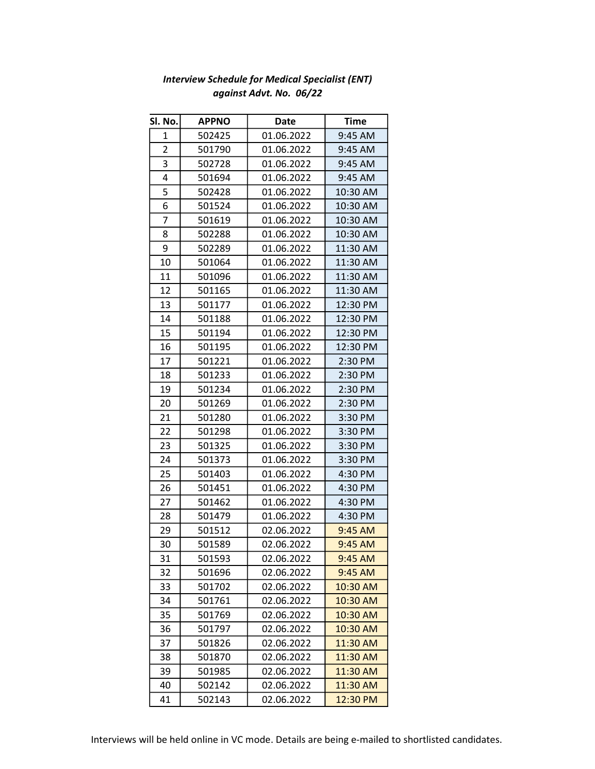| Sl. No.        | <b>APPNO</b> | Date       | <b>Time</b> |
|----------------|--------------|------------|-------------|
| $\mathbf{1}$   | 502425       | 01.06.2022 | 9:45 AM     |
| $\overline{2}$ | 501790       | 01.06.2022 | 9:45 AM     |
| 3              | 502728       | 01.06.2022 | 9:45 AM     |
| 4              | 501694       | 01.06.2022 | 9:45 AM     |
| 5              | 502428       | 01.06.2022 | 10:30 AM    |
| 6              | 501524       | 01.06.2022 | 10:30 AM    |
| 7              | 501619       | 01.06.2022 | 10:30 AM    |
| 8              | 502288       | 01.06.2022 | 10:30 AM    |
| 9              | 502289       | 01.06.2022 | 11:30 AM    |
| 10             | 501064       | 01.06.2022 | 11:30 AM    |
| 11             | 501096       | 01.06.2022 | 11:30 AM    |
| 12             | 501165       | 01.06.2022 | 11:30 AM    |
| 13             | 501177       | 01.06.2022 | 12:30 PM    |
| 14             | 501188       | 01.06.2022 | 12:30 PM    |
| 15             | 501194       | 01.06.2022 | 12:30 PM    |
| 16             | 501195       | 01.06.2022 | 12:30 PM    |
| 17             | 501221       | 01.06.2022 | 2:30 PM     |
| 18             | 501233       | 01.06.2022 | 2:30 PM     |
| 19             | 501234       | 01.06.2022 | 2:30 PM     |
| 20             | 501269       | 01.06.2022 | 2:30 PM     |
| 21             | 501280       | 01.06.2022 | 3:30 PM     |
| 22             | 501298       | 01.06.2022 | 3:30 PM     |
| 23             | 501325       | 01.06.2022 | 3:30 PM     |
| 24             | 501373       | 01.06.2022 | 3:30 PM     |
| 25             | 501403       | 01.06.2022 | 4:30 PM     |
| 26             | 501451       | 01.06.2022 | 4:30 PM     |
| 27             | 501462       | 01.06.2022 | 4:30 PM     |
| 28             | 501479       | 01.06.2022 | 4:30 PM     |
| 29             | 501512       | 02.06.2022 | 9:45 AM     |
| 30             | 501589       | 02.06.2022 | 9:45 AM     |
| 31             | 501593       | 02.06.2022 | 9:45 AM     |
| 32             | 501696       | 02.06.2022 | 9:45 AM     |
| 33             | 501702       | 02.06.2022 | 10:30 AM    |
| 34             | 501761       | 02.06.2022 | 10:30 AM    |
| 35             | 501769       | 02.06.2022 | 10:30 AM    |
| 36             | 501797       | 02.06.2022 | 10:30 AM    |
| 37             | 501826       | 02.06.2022 | 11:30 AM    |
| 38             | 501870       | 02.06.2022 | 11:30 AM    |
| 39             | 501985       | 02.06.2022 | 11:30 AM    |
| 40             | 502142       | 02.06.2022 | 11:30 AM    |
| 41             | 502143       | 02.06.2022 | 12:30 PM    |

## Interview Schedule for Medical Specialist (ENT) against Advt. No. 06/22